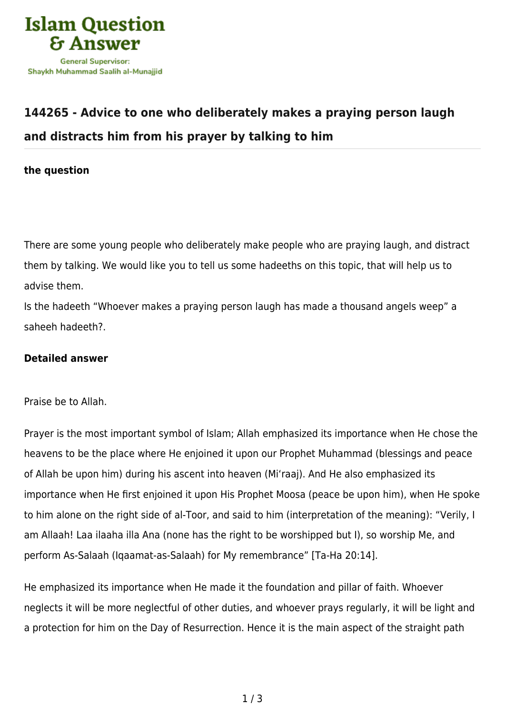

# **[144265 - Advice to one who deliberately makes a praying person laugh](https://islamqa.com/en/answers/144265/advice-to-one-who-deliberately-makes-a-praying-person-laugh-and-distracts-him-from-his-prayer-by-talking-to-him) [and distracts him from his prayer by talking to him](https://islamqa.com/en/answers/144265/advice-to-one-who-deliberately-makes-a-praying-person-laugh-and-distracts-him-from-his-prayer-by-talking-to-him)**

**the question**

There are some young people who deliberately make people who are praying laugh, and distract them by talking. We would like you to tell us some hadeeths on this topic, that will help us to advise them.

Is the hadeeth "Whoever makes a praying person laugh has made a thousand angels weep" a saheeh hadeeth?.

## **Detailed answer**

Praise be to Allah.

Prayer is the most important symbol of Islam; Allah emphasized its importance when He chose the heavens to be the place where He enjoined it upon our Prophet Muhammad (blessings and peace of Allah be upon him) during his ascent into heaven (Mi'raaj). And He also emphasized its importance when He first enjoined it upon His Prophet Moosa (peace be upon him), when He spoke to him alone on the right side of al-Toor, and said to him (interpretation of the meaning): "Verily, I am Allaah! Laa ilaaha illa Ana (none has the right to be worshipped but I), so worship Me, and perform As‑Salaah (Iqaamat‑as‑Salaah) for My remembrance" [Ta-Ha 20:14].

He emphasized its importance when He made it the foundation and pillar of faith. Whoever neglects it will be more neglectful of other duties, and whoever prays regularly, it will be light and a protection for him on the Day of Resurrection. Hence it is the main aspect of the straight path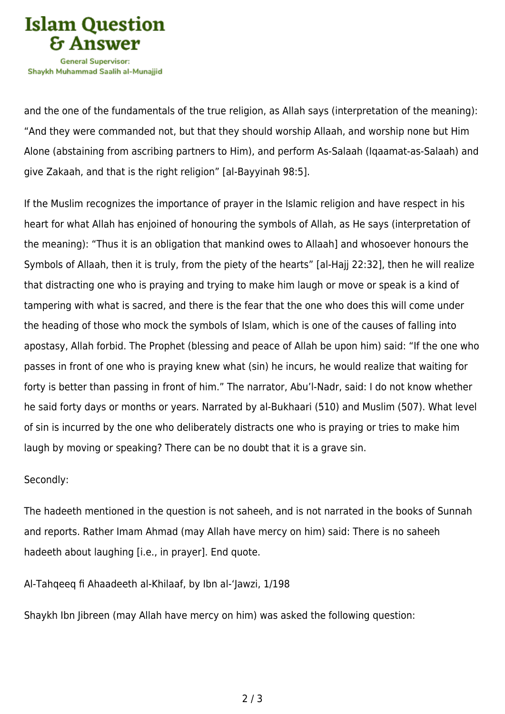

and the one of the fundamentals of the true religion, as Allah says (interpretation of the meaning): "And they were commanded not, but that they should worship Allaah, and worship none but Him Alone (abstaining from ascribing partners to Him), and perform As‑Salaah (Iqaamat‑as‑Salaah) and give Zakaah, and that is the right religion" [al-Bayyinah 98:5].

If the Muslim recognizes the importance of prayer in the Islamic religion and have respect in his heart for what Allah has enjoined of honouring the symbols of Allah, as He says (interpretation of the meaning): "Thus it is an obligation that mankind owes to Allaah] and whosoever honours the Symbols of Allaah, then it is truly, from the piety of the hearts" [al-Hajj 22:32], then he will realize that distracting one who is praying and trying to make him laugh or move or speak is a kind of tampering with what is sacred, and there is the fear that the one who does this will come under the heading of those who mock the symbols of Islam, which is one of the causes of falling into apostasy, Allah forbid. The Prophet (blessing and peace of Allah be upon him) said: "If the one who passes in front of one who is praying knew what (sin) he incurs, he would realize that waiting for forty is better than passing in front of him." The narrator, Abu'l-Nadr, said: I do not know whether he said forty days or months or years. Narrated by al-Bukhaari (510) and Muslim (507). What level of sin is incurred by the one who deliberately distracts one who is praying or tries to make him laugh by moving or speaking? There can be no doubt that it is a grave sin.

#### Secondly:

The hadeeth mentioned in the question is not saheeh, and is not narrated in the books of Sunnah and reports. Rather Imam Ahmad (may Allah have mercy on him) said: There is no saheeh hadeeth about laughing [i.e., in prayer]. End quote.

Al-Tahqeeq fi Ahaadeeth al-Khilaaf, by Ibn al-'Jawzi, 1/198

Shaykh Ibn Jibreen (may Allah have mercy on him) was asked the following question: